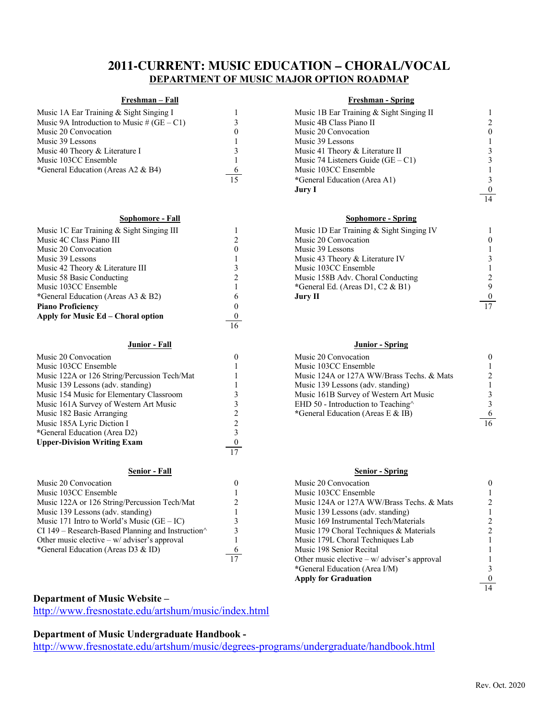# **2011-CURRENT: MUSIC EDUCATION – CHORAL/VOCAL DEPARTMENT OF MUSIC MAJOR OPTION ROADMAP**

| Music 1A Ear Training & Sight Singing I      |  |
|----------------------------------------------|--|
| Music 9A Introduction to Music # $(GE - C1)$ |  |
| Music 20 Convocation                         |  |
| Music 39 Lessons                             |  |
| Music 40 Theory & Literature I               |  |
| Music 103CC Ensemble                         |  |
| *General Education (Areas A2 & B4)           |  |
|                                              |  |

### **Sophomore - Fall Sophomore - Spring**

| Music 1C Ear Training & Sight Singing III |    | Music 1D Ear Training & Sight Singing IV |                 |
|-------------------------------------------|----|------------------------------------------|-----------------|
| Music 4C Class Piano III                  |    | Music 20 Convocation                     |                 |
| Music 20 Convocation                      |    | Music 39 Lessons                         |                 |
| Music 39 Lessons                          |    | Music 43 Theory & Literature IV          |                 |
| Music 42 Theory & Literature III          |    | Music 103CC Ensemble                     |                 |
| Music 58 Basic Conducting                 |    | Music 158B Adv. Choral Conducting        |                 |
| Music 103CC Ensemble                      |    | *General Ed. (Areas D1, C2 $\&$ B1)      |                 |
| *General Education (Areas A3 & B2)        |    | Jury II                                  |                 |
| <b>Piano Proficiency</b>                  |    |                                          | $\overline{17}$ |
| Apply for Music Ed – Choral option        |    |                                          |                 |
|                                           | 16 |                                          |                 |

### **Junior - Fall Junior - Spring**

| Music 20 Convocation                                        |    | Music 20 Convocation                       |    |
|-------------------------------------------------------------|----|--------------------------------------------|----|
| Music 103CC Ensemble                                        |    | Music 103CC Ensemble                       |    |
| Music 122A or 126 String/Percussion Tech/Mat                |    | Music 124A or 127A WW/Brass Techs. & Mats  |    |
| Music 139 Lessons (adv. standing)                           |    | Music 139 Lessons (adv. standing)          |    |
| Music 154 Music for Elementary Classroom                    |    | Music 161B Survey of Western Art Music     |    |
| Music 161A Survey of Western Art Music                      |    | EHD 50 - Introduction to Teaching $\wedge$ |    |
| Music 182 Basic Arranging                                   |    | *General Education (Areas E & IB)          |    |
| Music 185A Lyric Diction I                                  |    |                                            | 16 |
| *General Education (Area D2)                                |    |                                            |    |
| <b>Upper-Division Writing Exam</b>                          |    |                                            |    |
|                                                             | 17 |                                            |    |
| <b>Senior - Fall</b>                                        |    | <b>Senior - Spring</b>                     |    |
| Music 20 Convocation                                        |    | Music 20 Convocation                       |    |
| Music 103CC Ensemble                                        |    | Music 103CC Ensemble                       |    |
| Music 122A or 126 String/Percussion Tech/Mat                |    | Music 124A or 127A WW/Brass Techs, & Mats  |    |
| Music 139 Lessons (adv. standing)                           |    | Music 139 Lessons (adv. standing)          |    |
| Music 171 Intro to World's Music $(GE – IC)$                |    | Music 169 Instrumental Tech/Materials      |    |
| CI $149$ – Research-Based Planning and Instruction $\wedge$ |    | Music 179 Choral Techniques & Materials    |    |
| Other music elective $-w$ adviser's approval                |    | Music 179L Choral Techniques Lab           |    |
| *General Education (Areas D3 & ID)                          |    | Music 198 Senior Recital                   |    |

## **Freshman – Fall Freshman - Spring**

| Music 1A Ear Training & Sight Singing I      |    | Music 1B Ear Training & Sight Singing II |                  |
|----------------------------------------------|----|------------------------------------------|------------------|
| Music 9A Introduction to Music # $(GE - C1)$ |    | Music 4B Class Piano II                  |                  |
| Music 20 Convocation                         | U  | Music 20 Convocation                     | $\theta$         |
| Music 39 Lessons                             |    | Music 39 Lessons                         |                  |
| Music 40 Theory & Literature I               |    | Music 41 Theory & Literature II          |                  |
| Music 103CC Ensemble                         |    | Music 74 Listeners Guide $(GE - C1)$     |                  |
| *General Education (Areas A2 & B4)           | -6 | Music 103CC Ensemble                     |                  |
|                                              | 15 | *General Education (Area A1)             |                  |
|                                              |    | Jury I                                   | $\boldsymbol{0}$ |
|                                              |    |                                          | 14               |

| Music 1D Ear Training & Sight Singing IV |   |
|------------------------------------------|---|
| Music 20 Convocation                     | 0 |
| Music 39 Lessons                         |   |
| Music 43 Theory & Literature IV          | 3 |
| Music 103CC Ensemble                     |   |
| Music 158B Adv. Choral Conducting        | 2 |
| General Ed. (Areas D1, C2 & B1)          | Ç |
| Jury II                                  | 0 |
|                                          |   |

| Music 20 Convocation                           |  |
|------------------------------------------------|--|
| Music 103CC Ensemble                           |  |
| Music 124A or 127A WW/Brass Techs. & Mats      |  |
| Music 139 Lessons (adv. standing)              |  |
| Music 161B Survey of Western Art Music         |  |
| EHD 50 - Introduction to Teaching <sup>^</sup> |  |
| *General Education (Areas E & IB)              |  |
|                                                |  |

## **Senior - Fall Senior - Spring**

| ic 20 Convocation                                       |    | Music 20 Convocation                         | $\theta$ |
|---------------------------------------------------------|----|----------------------------------------------|----------|
| ic 103CC Ensemble                                       |    | Music 103CC Ensemble                         |          |
| ic 122A or 126 String/Percussion Tech/Mat               |    | Music 124A or 127A WW/Brass Techs. & Mats    |          |
| ic 139 Lessons (adv. standing)                          |    | Music 139 Lessons (adv. standing)            |          |
| ic 171 Intro to World's Music $(GE – IC)$               |    | Music 169 Instrumental Tech/Materials        |          |
| $49 -$ Research-Based Planning and Instruction $\wedge$ |    | Music 179 Choral Techniques & Materials      |          |
| r music elective – w/ adviser's approval                |    | Music 179L Choral Techniques Lab             |          |
| neral Education (Areas D3 & ID)                         |    | Music 198 Senior Recital                     |          |
|                                                         | 17 | Other music elective $-w$ adviser's approval |          |
|                                                         |    | *General Education (Area I/M)                |          |
|                                                         |    | <b>Apply for Graduation</b>                  | $\theta$ |
|                                                         |    |                                              | 14       |

## **Department of Music Website –**

http://www.fresnostate.edu/artshum/music/index.html

# **Department of Music Undergraduate Handbook -**

http://www.fresnostate.edu/artshum/music/degrees-programs/undergraduate/handbook.html